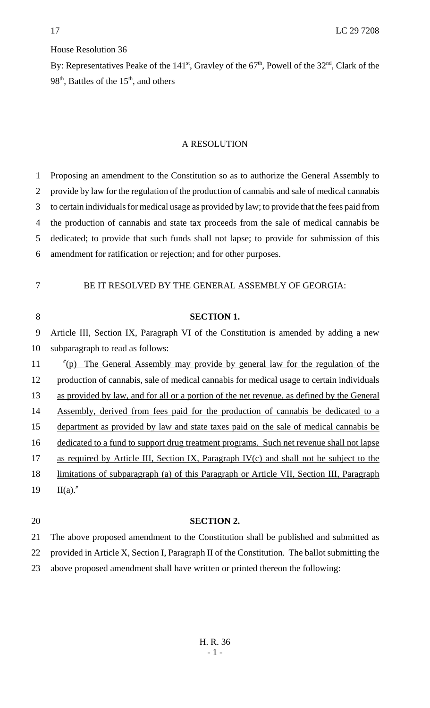## House Resolution 36

By: Representatives Peake of the  $141<sup>st</sup>$ , Gravley of the  $67<sup>th</sup>$ , Powell of the  $32<sup>nd</sup>$ , Clark of the 98<sup>th</sup>, Battles of the  $15<sup>th</sup>$ , and others

## A RESOLUTION

 Proposing an amendment to the Constitution so as to authorize the General Assembly to provide by law for the regulation of the production of cannabis and sale of medical cannabis to certain individuals for medical usage as provided by law; to provide that the fees paid from the production of cannabis and state tax proceeds from the sale of medical cannabis be dedicated; to provide that such funds shall not lapse; to provide for submission of this amendment for ratification or rejection; and for other purposes.

7 BE IT RESOLVED BY THE GENERAL ASSEMBLY OF GEORGIA:

| 8  | <b>SECTION 1.</b>                                                                               |
|----|-------------------------------------------------------------------------------------------------|
| 9  | Article III, Section IX, Paragraph VI of the Constitution is amended by adding a new            |
| 10 | subparagraph to read as follows:                                                                |
| 11 | "(p) The General Assembly may provide by general law for the regulation of the                  |
| 12 | production of cannabis, sale of medical cannabis for medical usage to certain individuals       |
| 13 | as provided by law, and for all or a portion of the net revenue, as defined by the General      |
| 14 | Assembly, derived from fees paid for the production of cannabis be dedicated to a               |
| 15 | department as provided by law and state taxes paid on the sale of medical cannabis be           |
| 16 | dedicated to a fund to support drug treatment programs. Such net revenue shall not lapse        |
| 17 | as required by Article III, Section IX, Paragraph IV(c) and shall not be subject to the         |
| 18 | <u>limitations of subparagraph (a) of this Paragraph or Article VII, Section III, Paragraph</u> |
| 19 | $\underline{\Pi(a)}.''$                                                                         |
|    |                                                                                                 |

## 20 **SECTION 2.**

21 The above proposed amendment to the Constitution shall be published and submitted as 22 provided in Article X, Section I, Paragraph II of the Constitution. The ballot submitting the 23 above proposed amendment shall have written or printed thereon the following: